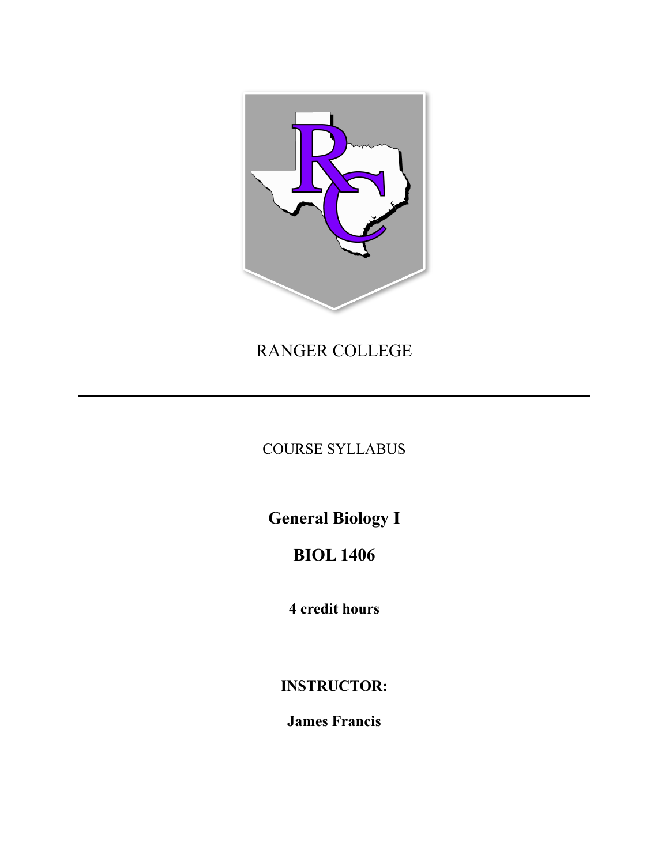

RANGER COLLEGE

COURSE SYLLABUS

**General Biology I**

**BIOL 1406**

**4 credit hours**

**INSTRUCTOR:**

**James Francis**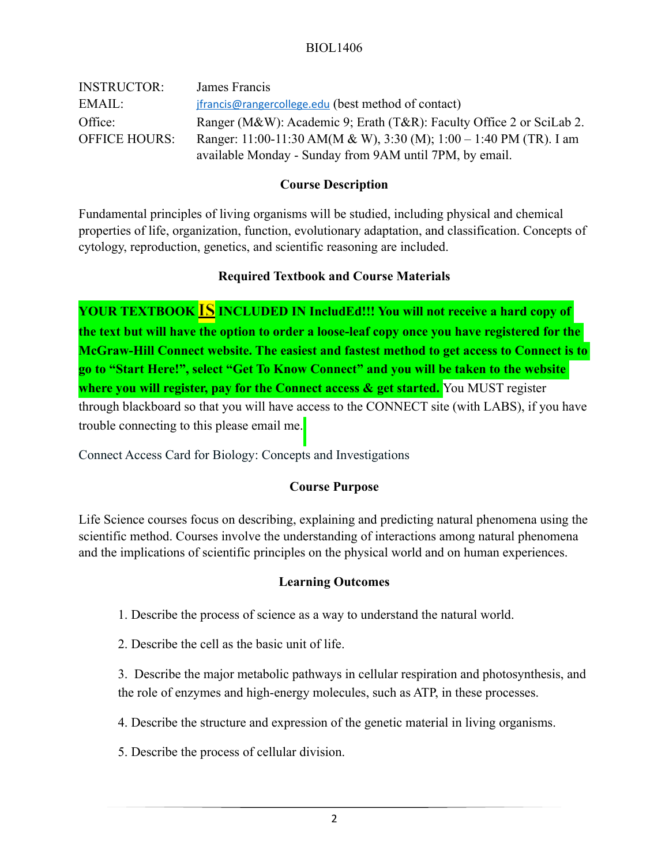| <b>INSTRUCTOR:</b>   | James Francis                                                        |
|----------------------|----------------------------------------------------------------------|
| EMAIL:               | <u>ifrancis@rangercollege.edu</u> (best method of contact)           |
| Office:              | Ranger (M&W): Academic 9; Erath (T&R): Faculty Office 2 or SciLab 2. |
| <b>OFFICE HOURS:</b> | Ranger: 11:00-11:30 AM(M & W), 3:30 (M); 1:00 - 1:40 PM (TR). I am   |
|                      | available Monday - Sunday from 9AM until 7PM, by email.              |

#### **Course Description**

Fundamental principles of living organisms will be studied, including physical and chemical properties of life, organization, function, evolutionary adaptation, and classification. Concepts of cytology, reproduction, genetics, and scientific reasoning are included.

### **Required Textbook and Course Materials**

**YOUR TEXTBOOK IS INCLUDED IN IncludEd!!! You will not receive a hard copy of the text but will have the option to order a loose-leaf copy once you have registered for the McGraw-Hill Connect website. The easiest and fastest method to get access to Connect is to go to "Start Here!", select "Get To Know Connect" and you will be taken to the website where you will register, pay for the Connect access & get started.** You MUST register through blackboard so that you will have access to the CONNECT site (with LABS), if you have trouble connecting to this please email me.

Connect Access Card for Biology: Concepts and Investigations

### **Course Purpose**

Life Science courses focus on describing, explaining and predicting natural phenomena using the scientific method. Courses involve the understanding of interactions among natural phenomena and the implications of scientific principles on the physical world and on human experiences.

#### **Learning Outcomes**

- 1. Describe the process of science as a way to understand the natural world.
- 2. Describe the cell as the basic unit of life.

 3. Describe the major metabolic pathways in cellular respiration and photosynthesis, and the role of enzymes and high-energy molecules, such as ATP, in these processes.

4. Describe the structure and expression of the genetic material in living organisms.

5. Describe the process of cellular division.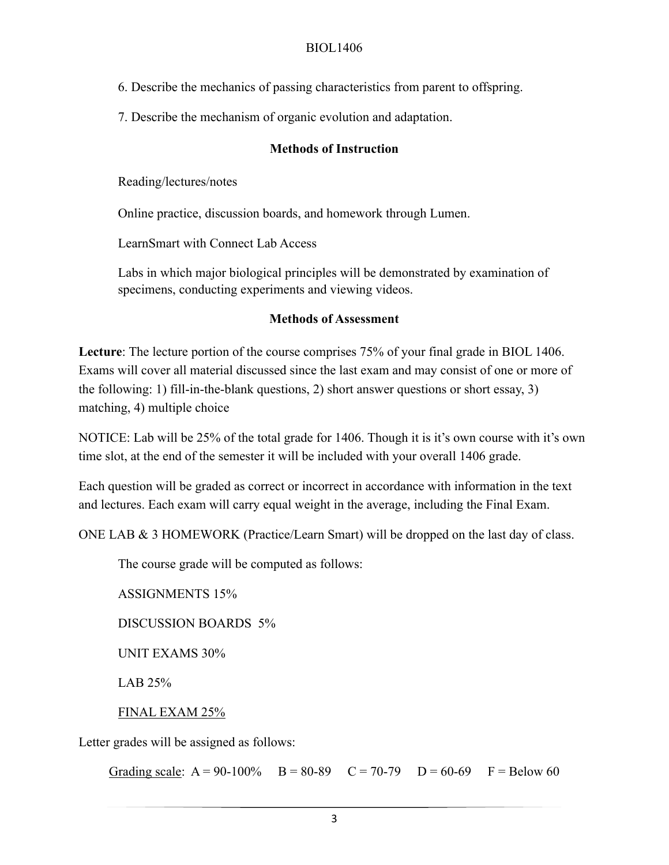- 6. Describe the mechanics of passing characteristics from parent to offspring.
- 7. Describe the mechanism of organic evolution and adaptation.

# **Methods of Instruction**

Reading/lectures/notes

Online practice, discussion boards, and homework through Lumen.

LearnSmart with Connect Lab Access

Labs in which major biological principles will be demonstrated by examination of specimens, conducting experiments and viewing videos.

### **Methods of Assessment**

**Lecture**: The lecture portion of the course comprises 75% of your final grade in BIOL 1406. Exams will cover all material discussed since the last exam and may consist of one or more of the following: 1) fill-in-the-blank questions, 2) short answer questions or short essay, 3) matching, 4) multiple choice

NOTICE: Lab will be 25% of the total grade for 1406. Though it is it's own course with it's own time slot, at the end of the semester it will be included with your overall 1406 grade.

Each question will be graded as correct or incorrect in accordance with information in the text and lectures. Each exam will carry equal weight in the average, including the Final Exam.

ONE LAB & 3 HOMEWORK (Practice/Learn Smart) will be dropped on the last day of class.

The course grade will be computed as follows:

ASSIGNMENTS 15%

DISCUSSION BOARDS 5%

UNIT EXAMS 30%

LAB 25%

### FINAL EXAM 25%

Letter grades will be assigned as follows:

Grading scale:  $A = 90-100\%$  B = 80-89 C = 70-79 D = 60-69 F = Below 60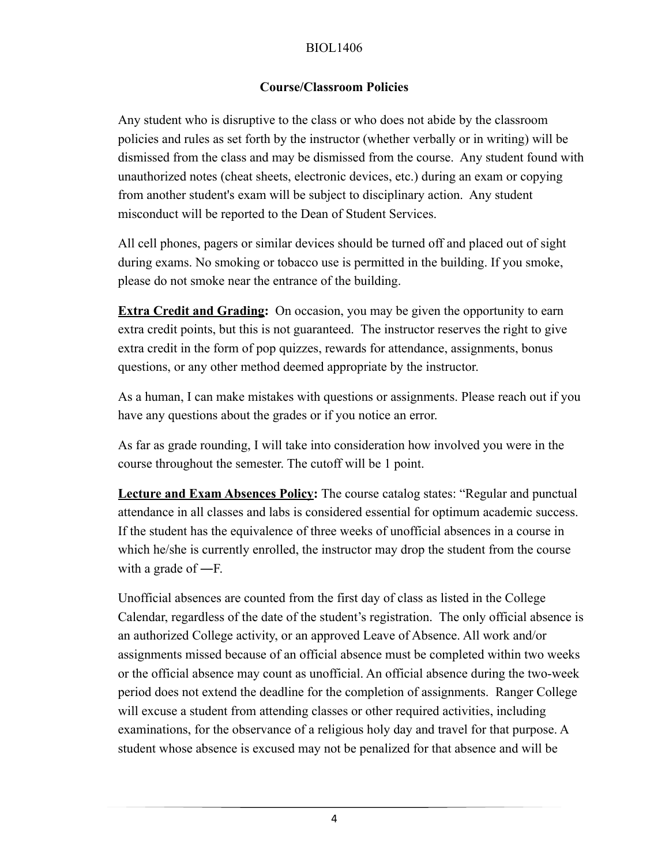# **Course/Classroom Policies**

Any student who is disruptive to the class or who does not abide by the classroom policies and rules as set forth by the instructor (whether verbally or in writing) will be dismissed from the class and may be dismissed from the course. Any student found with unauthorized notes (cheat sheets, electronic devices, etc.) during an exam or copying from another student's exam will be subject to disciplinary action. Any student misconduct will be reported to the Dean of Student Services.

All cell phones, pagers or similar devices should be turned off and placed out of sight during exams. No smoking or tobacco use is permitted in the building. If you smoke, please do not smoke near the entrance of the building.

**Extra Credit and Grading:** On occasion, you may be given the opportunity to earn extra credit points, but this is not guaranteed. The instructor reserves the right to give extra credit in the form of pop quizzes, rewards for attendance, assignments, bonus questions, or any other method deemed appropriate by the instructor.

As a human, I can make mistakes with questions or assignments. Please reach out if you have any questions about the grades or if you notice an error.

As far as grade rounding, I will take into consideration how involved you were in the course throughout the semester. The cutoff will be 1 point.

**Lecture and Exam Absences Policy:** The course catalog states: "Regular and punctual attendance in all classes and labs is considered essential for optimum academic success. If the student has the equivalence of three weeks of unofficial absences in a course in which he/she is currently enrolled, the instructor may drop the student from the course with a grade of ―F.

Unofficial absences are counted from the first day of class as listed in the College Calendar, regardless of the date of the student's registration. The only official absence is an authorized College activity, or an approved Leave of Absence. All work and/or assignments missed because of an official absence must be completed within two weeks or the official absence may count as unofficial. An official absence during the two-week period does not extend the deadline for the completion of assignments. Ranger College will excuse a student from attending classes or other required activities, including examinations, for the observance of a religious holy day and travel for that purpose. A student whose absence is excused may not be penalized for that absence and will be

4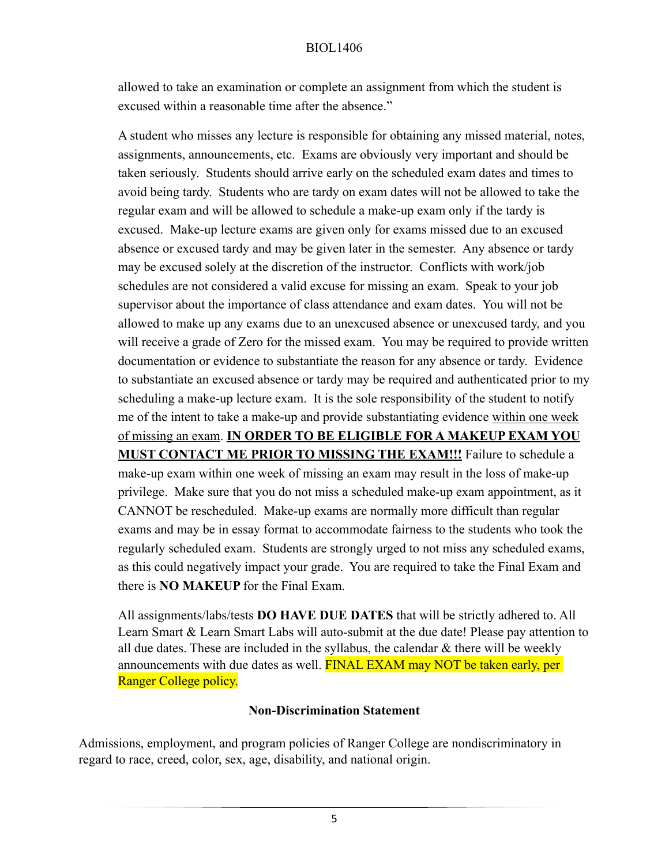allowed to take an examination or complete an assignment from which the student is excused within a reasonable time after the absence."

A student who misses any lecture is responsible for obtaining any missed material, notes, assignments, announcements, etc. Exams are obviously very important and should be taken seriously. Students should arrive early on the scheduled exam dates and times to avoid being tardy. Students who are tardy on exam dates will not be allowed to take the regular exam and will be allowed to schedule a make-up exam only if the tardy is excused. Make-up lecture exams are given only for exams missed due to an excused absence or excused tardy and may be given later in the semester. Any absence or tardy may be excused solely at the discretion of the instructor. Conflicts with work/job schedules are not considered a valid excuse for missing an exam. Speak to your job supervisor about the importance of class attendance and exam dates. You will not be allowed to make up any exams due to an unexcused absence or unexcused tardy, and you will receive a grade of Zero for the missed exam. You may be required to provide written documentation or evidence to substantiate the reason for any absence or tardy. Evidence to substantiate an excused absence or tardy may be required and authenticated prior to my scheduling a make-up lecture exam. It is the sole responsibility of the student to notify me of the intent to take a make-up and provide substantiating evidence within one week of missing an exam. **IN ORDER TO BE ELIGIBLE FOR A MAKEUP EXAM YOU MUST CONTACT ME PRIOR TO MISSING THE EXAM!!!** Failure to schedule a make-up exam within one week of missing an exam may result in the loss of make-up privilege. Make sure that you do not miss a scheduled make-up exam appointment, as it CANNOT be rescheduled. Make-up exams are normally more difficult than regular exams and may be in essay format to accommodate fairness to the students who took the regularly scheduled exam. Students are strongly urged to not miss any scheduled exams, as this could negatively impact your grade. You are required to take the Final Exam and there is **NO MAKEUP** for the Final Exam.

All assignments/labs/tests **DO HAVE DUE DATES** that will be strictly adhered to. All Learn Smart & Learn Smart Labs will auto-submit at the due date! Please pay attention to all due dates. These are included in the syllabus, the calendar  $\&$  there will be weekly announcements with due dates as well. FINAL EXAM may NOT be taken early, per Ranger College policy.

### **Non-Discrimination Statement**

Admissions, employment, and program policies of Ranger College are nondiscriminatory in regard to race, creed, color, sex, age, disability, and national origin.